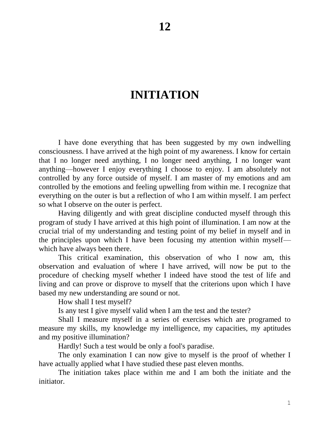# **INITIATION**

I have done everything that has been suggested by my own indwelling consciousness. I have arrived at the high point of my awareness. I know for certain that I no longer need anything, I no longer need anything, I no longer want anything—however I enjoy everything I choose to enjoy. I am absolutely not controlled by any force outside of myself. I am master of my emotions and am controlled by the emotions and feeling upwelling from within me. I recognize that everything on the outer is but a reflection of who I am within myself. I am perfect so what I observe on the outer is perfect.

Having diligently and with great discipline conducted myself through this program of study I have arrived at this high point of illumination. I am now at the crucial trial of my understanding and testing point of my belief in myself and in the principles upon which I have been focusing my attention within myself which have always been there.

This critical examination, this observation of who I now am, this observation and evaluation of where I have arrived, will now be put to the procedure of checking myself whether I indeed have stood the test of life and living and can prove or disprove to myself that the criterions upon which I have based my new understanding are sound or not.

How shall I test myself?

Is any test I give myself valid when I am the test and the tester?

Shall I measure myself in a series of exercises which are programed to measure my skills, my knowledge my intelligence, my capacities, my aptitudes and my positive illumination?

Hardly! Such a test would be only a fool's paradise.

The only examination I can now give to myself is the proof of whether I have actually applied what I have studied these past eleven months.

The initiation takes place within me and I am both the initiate and the initiator.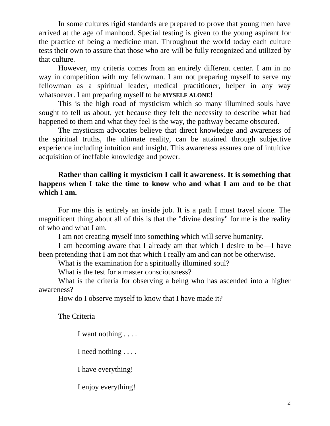In some cultures rigid standards are prepared to prove that young men have arrived at the age of manhood. Special testing is given to the young aspirant for the practice of being a medicine man. Throughout the world today each culture tests their own to assure that those who are will be fully recognized and utilized by that culture.

However, my criteria comes from an entirely different center. I am in no way in competition with my fellowman. I am not preparing myself to serve my fellowman as a spiritual leader, medical practitioner, helper in any way whatsoever. I am preparing myself to be **MYSELF ALONE!**

This is the high road of mysticism which so many illumined souls have sought to tell us about, yet because they felt the necessity to describe what had happened to them and what they feel is the way, the pathway became obscured.

The mysticism advocates believe that direct knowledge and awareness of the spiritual truths, the ultimate reality, can be attained through subjective experience including intuition and insight. This awareness assures one of intuitive acquisition of ineffable knowledge and power.

# **Rather than calling it mysticism I call it awareness. It is something that happens when I take the time to know who and what I am and to be that which I am.**

For me this is entirely an inside job. It is a path I must travel alone. The magnificent thing about all of this is that the "divine destiny" for me is the reality of who and what I am.

I am not creating myself into something which will serve humanity.

I am becoming aware that I already am that which I desire to be—I have been pretending that I am not that which I really am and can not be otherwise.

What is the examination for a spiritually illumined soul?

What is the test for a master consciousness?

What is the criteria for observing a being who has ascended into a higher awareness?

How do I observe myself to know that I have made it?

The Criteria

I want nothing . . . .

I need nothing . . . .

I have everything!

I enjoy everything!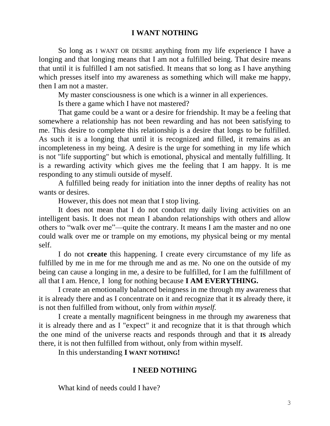#### **I WANT NOTHING**

So long as I WANT OR DESIRE anything from my life experience I have a longing and that longing means that I am not a fulfilled being. That desire means that until it is fulfilled I am not satisfied. It means that so long as I have anything which presses itself into my awareness as something which will make me happy, then I am not a master.

My master consciousness is one which is a winner in all experiences.

Is there a game which I have not mastered?

That game could be a want or a desire for friendship. It may be a feeling that somewhere a relationship has not been rewarding and has not been satisfying to me. This desire to complete this relationship is a desire that longs to be fulfilled. As such it is a longing that until it is recognized and filled, it remains as an incompleteness in my being. A desire is the urge for something in my life which is not "life supporting" but which is emotional, physical and mentally fulfilling. It is a rewarding activity which gives me the feeling that I am happy. It is me responding to any stimuli outside of myself.

A fulfilled being ready for initiation into the inner depths of reality has not wants or desires.

However, this does not mean that I stop living.

It does not mean that I do not conduct my daily living activities on an intelligent basis. It does not mean I abandon relationships with others and allow others to "walk over me"—quite the contrary. It means I am the master and no one could walk over me or trample on my emotions, my physical being or my mental self.

I do not **create** this happening. I create every circumstance of my life as fulfilled by me in me for me through me and as me. No one on the outside of my being can cause a longing in me, a desire to be fulfilled, for I am the fulfillment of all that I am. Hence, I long for nothing because **I AM EVERYTHING.**

I create an emotionally balanced beingness in me through my awareness that it is already there and as I concentrate on it and recognize that it **IS** already there, it is not then fulfilled from without, only from *within myself.*

I create a mentally magnificent beingness in me through my awareness that it is already there and as I "expect" it and recognize that it is that through which the one mind of the universe reacts and responds through and that it **IS** already there, it is not then fulfilled from without, only from within myself.

In this understanding **I WANT NOTHING!**

#### **I NEED NOTHING**

What kind of needs could I have?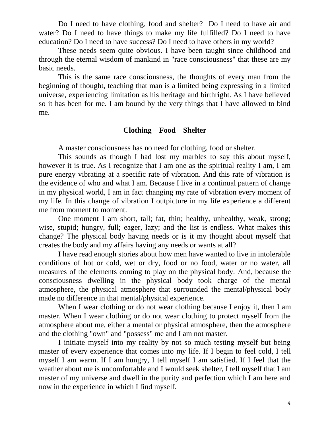Do I need to have clothing, food and shelter? Do I need to have air and water? Do I need to have things to make my life fulfilled? Do I need to have education? Do I need to have success? Do I need to have others in my world?

These needs seem quite obvious. I have been taught since childhood and through the eternal wisdom of mankind in "race consciousness" that these are my basic needs.

This is the same race consciousness, the thoughts of every man from the beginning of thought, teaching that man is a limited being expressing in a limited universe, experiencing limitation as his heritage and birthright. As I have believed so it has been for me. I am bound by the very things that I have allowed to bind me.

#### **Clothing—Food—Shelter**

A master consciousness has no need for clothing, food or shelter.

This sounds as though I had lost my marbles to say this about myself, however it is true. As I recognize that I am one as the spiritual reality I am, I am pure energy vibrating at a specific rate of vibration. And this rate of vibration is the evidence of who and what I am. Because I live in a continual pattern of change in my physical world, I am in fact changing my rate of vibration every moment of my life. In this change of vibration I outpicture in my life experience a different me from moment to moment.

One moment I am short, tall; fat, thin; healthy, unhealthy, weak, strong; wise, stupid; hungry, full; eager, lazy; and the list is endless. What makes this change? The physical body having needs or is it my thought about myself that creates the body and my affairs having any needs or wants at all?

I have read enough stories about how men have wanted to live in intolerable conditions of hot or cold, wet or dry, food or no food, water or no water, all measures of the elements coming to play on the physical body. And, because the consciousness dwelling in the physical body took charge of the mental atmosphere, the physical atmosphere that surrounded the mental/physical body made no difference in that mental/physical experience.

When I wear clothing or do not wear clothing because I enjoy it, then I am master. When I wear clothing or do not wear clothing to protect myself from the atmosphere about me, either a mental or physical atmosphere, then the atmosphere and the clothing "own" and "possess" me and I am not master.

I initiate myself into my reality by not so much testing myself but being master of every experience that comes into my life. If I begin to feel cold, I tell myself I am warm. If I am hungry, I tell myself I am satisfied. If I feel that the weather about me is uncomfortable and I would seek shelter, I tell myself that I am master of my universe and dwell in the purity and perfection which I am here and now in the experience in which I find myself.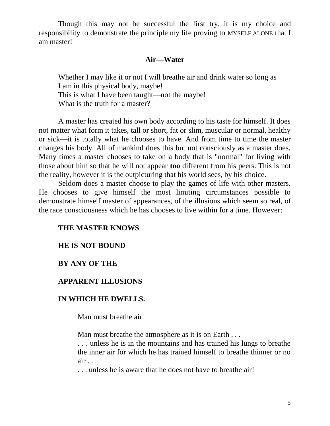Though this may not be successful the first try, it is my choice and responsibility to demonstrate the principle my life proving to MYSELF ALONE that I am master!

#### **Air—Water**

Whether I may like it or not I will breathe air and drink water so long as I am in this physical body, maybe! This is what I have been taught—not the maybe! What is the truth for a master?

A master has created his own body according to his taste for himself. It does not matter what form it takes, tall or short, fat or slim, muscular or normal, healthy or sick—it is totally what he chooses to have. And from time to time the master changes his body. All of mankind does this but not consciously as a master does. Many times a master chooses to take on a body that is "normal" for living with those about him so that he will not appear **too** different from his peers. This is not the reality, however it is the outpicturing that his world sees, by his choice.

Seldom does a master choose to play the games of life with other masters. He chooses to give himself the most limiting circumstances possible to demonstrate himself master of appearances, of the illusions which seem so real, of the race consciousness which he has chooses to live within for a time. However:

### **THE MASTER KNOWS**

#### **HE IS NOT BOUND**

#### **BY ANY OF THE**

# **APPARENT ILLUSIONS**

#### **IN WHICH HE DWELLS.**

Man must breathe air.

Man must breathe the atmosphere as it is on Earth . . .

. . . unless he is in the mountains and has trained his lungs to breathe the inner air for which he has trained himself to breathe thinner or no air . . .

. . . unless he is aware that he does not have to breathe air!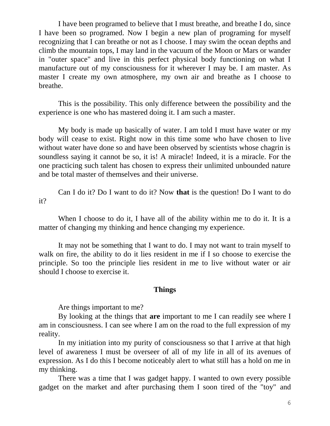I have been programed to believe that I must breathe, and breathe I do, since I have been so programed. Now I begin a new plan of programing for myself recognizing that I can breathe or not as I choose. I may swim the ocean depths and climb the mountain tops, I may land in the vacuum of the Moon or Mars or wander in "outer space" and live in this perfect physical body functioning on what I manufacture out of my consciousness for it wherever I may be. I am master. As master I create my own atmosphere, my own air and breathe as I choose to breathe.

This is the possibility. This only difference between the possibility and the experience is one who has mastered doing it. I am such a master.

My body is made up basically of water. I am told I must have water or my body will cease to exist. Right now in this time some who have chosen to live without water have done so and have been observed by scientists whose chagrin is soundless saying it cannot be so, it is! A miracle! Indeed, it is a miracle. For the one practicing such talent has chosen to express their unlimited unbounded nature and be total master of themselves and their universe.

Can I do it? Do I want to do it? Now **that** is the question! Do I want to do it?

When I choose to do it, I have all of the ability within me to do it. It is a matter of changing my thinking and hence changing my experience.

It may not be something that I want to do. I may not want to train myself to walk on fire, the ability to do it lies resident in me if I so choose to exercise the principle. So too the principle lies resident in me to live without water or air should I choose to exercise it.

#### **Things**

Are things important to me?

By looking at the things that **are** important to me I can readily see where I am in consciousness. I can see where I am on the road to the full expression of my reality.

In my initiation into my purity of consciousness so that I arrive at that high level of awareness I must be overseer of all of my life in all of its avenues of expression. As I do this I become noticeably alert to what still has a hold on me in my thinking.

There was a time that I was gadget happy. I wanted to own every possible gadget on the market and after purchasing them I soon tired of the "toy" and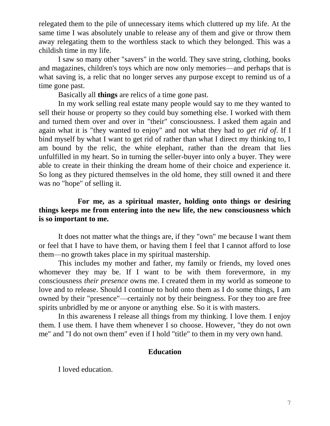relegated them to the pile of unnecessary items which cluttered up my life. At the same time I was absolutely unable to release any of them and give or throw them away relegating them to the worthless stack to which they belonged. This was a childish time in my life.

I saw so many other "savers" in the world. They save string, clothing, books and magazines, children's toys which are now only memories—and perhaps that is what saving is, a relic that no longer serves any purpose except to remind us of a time gone past.

Basically all **things** are relics of a time gone past.

In my work selling real estate many people would say to me they wanted to sell their house or property so they could buy something else. I worked with them and turned them over and over in "their" consciousness. I asked them again and again what it is "they wanted to enjoy" and not what they had to *get rid of*. If I bind myself by what I want to get rid of rather than what I direct my thinking to, I am bound by the relic, the white elephant, rather than the dream that lies unfulfilled in my heart. So in turning the seller-buyer into only a buyer. They were able to create in their thinking the dream home of their choice and experience it. So long as they pictured themselves in the old home, they still owned it and there was no "hope" of selling it.

## **For me, as a spiritual master, holding onto things or desiring things keeps me from entering into the new life, the new consciousness which is so important to me.**

It does not matter what the things are, if they "own" me because I want them or feel that I have to have them, or having them I feel that I cannot afford to lose them—no growth takes place in my spiritual mastership.

This includes my mother and father, my family or friends, my loved ones whomever they may be. If I want to be with them forevermore, in my consciousness *their presence* owns me. I created them in my world as someone to love and to release. Should I continue to hold onto them as I do some things, I am owned by their "presence"—certainly not by their beingness. For they too are free spirits unbridled by me or anyone or anything else. So it is with masters.

In this awareness I release all things from my thinking. I love them. I enjoy them. I use them. I have them whenever I so choose. However, "they do not own me" and "I do not own them" even if I hold "title" to them in my very own hand.

# **Education**

I loved education.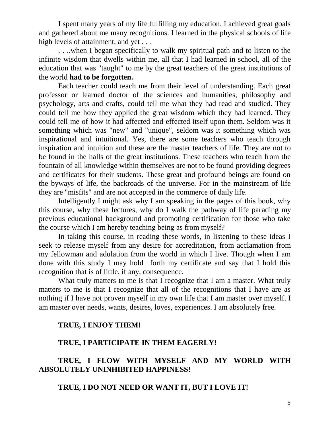I spent many years of my life fulfilling my education. I achieved great goals and gathered about me many recognitions. I learned in the physical schools of life high levels of attainment, and yet ...

. . ..when I began specifically to walk my spiritual path and to listen to the infinite wisdom that dwells within me, all that I had learned in school, all of the education that was "taught" to me by the great teachers of the great institutions of the world **had to be forgotten.**

Each teacher could teach me from their level of understanding. Each great professor or learned doctor of the sciences and humanities, philosophy and psychology, arts and crafts, could tell me what they had read and studied. They could tell me how they applied the great wisdom which they had learned. They could tell me of how it had affected and effected itself upon them. Seldom was it something which was "new" and "unique", seldom was it something which was inspirational and intuitional. Yes, there are some teachers who teach through inspiration and intuition and these are the master teachers of life. They are not to be found in the halls of the great institutions. These teachers who teach from the fountain of all knowledge within themselves are not to be found providing degrees and certificates for their students. These great and profound beings are found on the byways of life, the backroads of the universe. For in the mainstream of life they are "misfits" and are not accepted in the commerce of daily life.

Intelligently I might ask why I am speaking in the pages of this book, why this course, why these lectures, why do I walk the pathway of life parading my previous educational background and promoting certification for those who take the course which I am hereby teaching being as from myself?

In taking this course, in reading these words, in listening to these ideas I seek to release myself from any desire for accreditation, from acclamation from my fellowman and adulation from the world in which I live. Though when I am done with this study I may hold forth my certificate and say that I hold this recognition that is of little, if any, consequence.

What truly matters to me is that I recognize that I am a master. What truly matters to me is that I recognize that all of the recognitions that I have are as nothing if I have not proven myself in my own life that I am master over myself. I am master over needs, wants, desires, loves, experiences. I am absolutely free.

# **TRUE, I ENJOY THEM!**

### **TRUE, I PARTICIPATE IN THEM EAGERLY!**

# **TRUE, I FLOW WITH MYSELF AND MY WORLD WITH ABSOLUTELY UNINHIBITED HAPPINESS!**

# **TRUE, I DO NOT NEED OR WANT IT, BUT I LOVE IT!**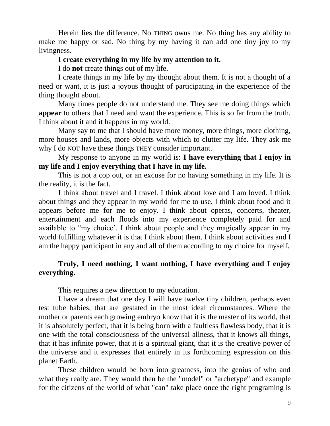Herein lies the difference. No THING owns me. No thing has any ability to make me happy or sad. No thing by my having it can add one tiny joy to my livingness.

## **I create everything in my life by my attention to it.**

I do **not** create things out of my life.

I create things in my life by my thought about them. It is not a thought of a need or want, it is just a joyous thought of participating in the experience of the thing thought about.

Many times people do not understand me. They see me doing things which **appear** to others that I need and want the experience. This is so far from the truth. I think about it and it happens in my world.

Many say to me that I should have more money, more things, more clothing, more houses and lands, more objects with which to clutter my life. They ask me why I do NOT have these things THEY consider important.

My response to anyone in my world is: **I have everything that I enjoy in my life and I enjoy everything that I have in my life.**

This is not a cop out, or an excuse for no having something in my life. It is the reality, it is the fact.

I think about travel and I travel. I think about love and I am loved. I think about things and they appear in my world for me to use. I think about food and it appears before me for me to enjoy. I think about operas, concerts, theater, entertainment and each floods into my experience completely paid for and available to "my choice'. I think about people and they magically appear in my world fulfilling whatever it is that I think about them. I think about activities and I am the happy participant in any and all of them according to my choice for myself.

# **Truly, I need nothing, I want nothing, I have everything and I enjoy everything.**

This requires a new direction to my education.

I have a dream that one day I will have twelve tiny children, perhaps even test tube babies, that are gestated in the most ideal circumstances. Where the mother or parents each growing embryo know that it is the master of its world, that it is absolutely perfect, that it is being born with a faultless flawless body, that it is one with the total consciousness of the universal allness, that it knows all things, that it has infinite power, that it is a spiritual giant, that it is the creative power of the universe and it expresses that entirely in its forthcoming expression on this planet Earth.

These children would be born into greatness, into the genius of who and what they really are. They would then be the "model" or "archetype" and example for the citizens of the world of what "can" take place once the right programing is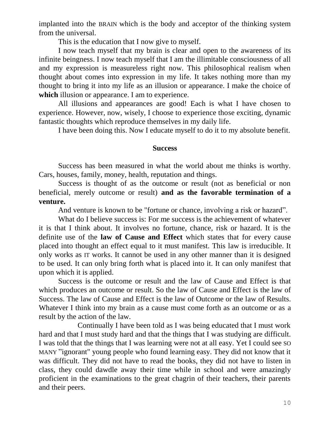implanted into the BRAIN which is the body and acceptor of the thinking system from the universal.

This is the education that I now give to myself.

I now teach myself that my brain is clear and open to the awareness of its infinite beingness. I now teach myself that I am the illimitable consciousness of all and my expression is measureless right now. This philosophical realism when thought about comes into expression in my life. It takes nothing more than my thought to bring it into my life as an illusion or appearance. I make the choice of **which** illusion or appearance. I am to experience.

All illusions and appearances are good! Each is what I have chosen to experience. However, now, wisely, I choose to experience those exciting, dynamic fantastic thoughts which reproduce themselves in my daily life.

I have been doing this. Now I educate myself to do it to my absolute benefit.

#### **Success**

Success has been measured in what the world about me thinks is worthy. Cars, houses, family, money, health, reputation and things.

Success is thought of as the outcome or result (not as beneficial or non beneficial, merely outcome or result) **and as the favorable termination of a venture.**

And venture is known to be "fortune or chance, involving a risk or hazard".

What do I believe success is: For me success is the achievement of whatever it is that I think about. It involves no fortune, chance, risk or hazard. It is the definite use of the **law of Cause and Effect** which states that for every cause placed into thought an effect equal to it must manifest. This law is irreducible. It only works as IT works. It cannot be used in any other manner than it is designed to be used. It can only bring forth what is placed into it. It can only manifest that upon which it is applied.

Success is the outcome or result and the law of Cause and Effect is that which produces an outcome or result. So the law of Cause and Effect is the law of Success. The law of Cause and Effect is the law of Outcome or the law of Results. Whatever I think into my brain as a cause must come forth as an outcome or as a result by the action of the law.

Continually I have been told as I was being educated that I must work hard and that I must study hard and that the things that I was studying are difficult. I was told that the things that I was learning were not at all easy. Yet I could see SO MANY "ignorant" young people who found learning easy. They did not know that it was difficult. They did not have to read the books, they did not have to listen in class, they could dawdle away their time while in school and were amazingly proficient in the examinations to the great chagrin of their teachers, their parents and their peers.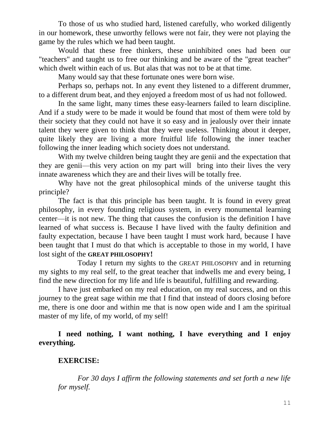To those of us who studied hard, listened carefully, who worked diligently in our homework, these unworthy fellows were not fair, they were not playing the game by the rules which we had been taught.

Would that these free thinkers, these uninhibited ones had been our "teachers" and taught us to free our thinking and be aware of the "great teacher" which dwelt within each of us. But alas that was not to be at that time.

Many would say that these fortunate ones were born wise.

Perhaps so, perhaps not. In any event they listened to a different drummer, to a different drum beat, and they enjoyed a freedom most of us had not followed.

In the same light, many times these easy-learners failed to learn discipline. And if a study were to be made it would be found that most of them were told by their society that they could not have it so easy and in jealously over their innate talent they were given to think that they were useless. Thinking about it deeper, quite likely they are living a more fruitful life following the inner teacher following the inner leading which society does not understand.

With my twelve children being taught they are genii and the expectation that they are genii—this very action on my part will bring into their lives the very innate awareness which they are and their lives will be totally free.

Why have not the great philosophical minds of the universe taught this principle?

The fact is that this principle has been taught. It is found in every great philosophy, in every founding religious system, in every monumental learning center—it is not new. The thing that causes the confusion is the definition I have learned of what success is. Because I have lived with the faulty definition and faulty expectation, because I have been taught I must work hard, because I have been taught that I must do that which is acceptable to those in my world, I have lost sight of the **GREAT PHILOSOPHY!**

Today I return my sights to the GREAT PHILOSOPHY and in returning my sights to my real self, to the great teacher that indwells me and every being, I find the new direction for my life and life is beautiful, fulfilling and rewarding.

I have just embarked on my real education, on my real success, and on this journey to the great sage within me that I find that instead of doors closing before me, there is one door and within me that is now open wide and I am the spiritual master of my life, of my world, of my self!

**I need nothing, I want nothing, I have everything and I enjoy everything.**

# **EXERCISE:**

*For 30 days I affirm the following statements and set forth a new life for myself.*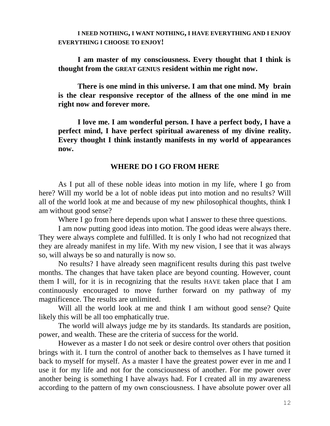**I NEED NOTHING, I WANT NOTHING, I HAVE EVERYTHING AND I ENJOY EVERYTHING I CHOOSE TO ENJOY!**

**I am master of my consciousness. Every thought that I think is thought from the GREAT GENIUS resident within me right now.**

**There is one mind in this universe. I am that one mind. My brain is the clear responsive receptor of the allness of the one mind in me right now and forever more.**

**I love me. I am wonderful person. I have a perfect body, I have a perfect mind, I have perfect spiritual awareness of my divine reality. Every thought I think instantly manifests in my world of appearances now.**

### **WHERE DO I GO FROM HERE**

As I put all of these noble ideas into motion in my life, where I go from here? Will my world be a lot of noble ideas put into motion and no results? Will all of the world look at me and because of my new philosophical thoughts, think I am without good sense?

Where I go from here depends upon what I answer to these three questions.

I am now putting good ideas into motion. The good ideas were always there. They were always complete and fulfilled. It is only I who had not recognized that they are already manifest in my life. With my new vision, I see that it was always so, will always be so and naturally is now so.

No results? I have already seen magnificent results during this past twelve months. The changes that have taken place are beyond counting. However, count them I will, for it is in recognizing that the results HAVE taken place that I am continuously encouraged to move further forward on my pathway of my magnificence. The results are unlimited.

Will all the world look at me and think I am without good sense? Quite likely this will be all too emphatically true.

The world will always judge me by its standards. Its standards are position, power, and wealth. These are the criteria of success for the world.

However as a master I do not seek or desire control over others that position brings with it. I turn the control of another back to themselves as I have turned it back to myself for myself. As a master I have the greatest power ever in me and I use it for my life and not for the consciousness of another. For me power over another being is something I have always had. For I created all in my awareness according to the pattern of my own consciousness. I have absolute power over all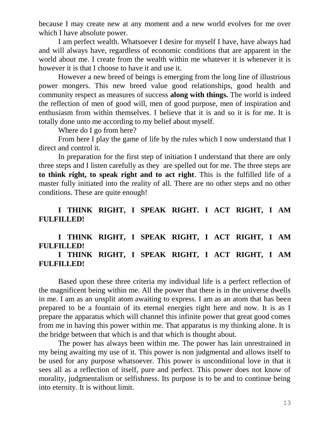because I may create new at any moment and a new world evolves for me over which I have absolute power.

I am perfect wealth. Whatsoever I desire for myself I have, have always had and will always have, regardless of economic conditions that are apparent in the world about me. I create from the wealth within me whatever it is whenever it is however it is that I choose to have it and use it.

However a new breed of beings is emerging from the long line of illustrious power mongers. This new breed value good relationships, good health and community respect as measures of success **along with things.** The world is indeed the reflection of men of good will, men of good purpose, men of inspiration and enthusiasm from within themselves. I believe that it is and so it is for me. It is totally done unto me according to my belief about myself.

Where do I go from here?

From here I play the game of life by the rules which I now understand that I direct and control it.

In preparation for the first step of initiation I understand that there are only three steps and I listen carefully as they are spelled out for me. The three steps are **to think right, to speak right and to act right**. This is the fulfilled life of a master fully initiated into the reality of all. There are no other steps and no other conditions. These are quite enough!

# **I THINK RIGHT, I SPEAK RIGHT. I ACT RIGHT, I AM FULFILLED!**

# **I THINK RIGHT, I SPEAK RIGHT, I ACT RIGHT, I AM FULFILLED!**

# **I THINK RIGHT, I SPEAK RIGHT, I ACT RIGHT, I AM FULFILLED!**

Based upon these three criteria my individual life is a perfect reflection of the magnificent being within me. All the power that there is in the universe dwells in me. I am as an unsplit atom awaiting to express. I am as an atom that has been prepared to be a fountain of its eternal energies right here and now. It is as I prepare the apparatus which will channel this infinite power that great good comes from me in having this power within me. That apparatus is my thinking alone. It is the bridge between that which is and that which is thought about.

The power has always been within me. The power has lain unrestrained in my being awaiting my use of it. This power is non judgmental and allows itself to be used for any purpose whatsoever. This power is unconditional love in that it sees all as a reflection of itself, pure and perfect. This power does not know of morality, judgmentalism or selfishness. Its purpose is to be and to continue being into eternity. It is without limit.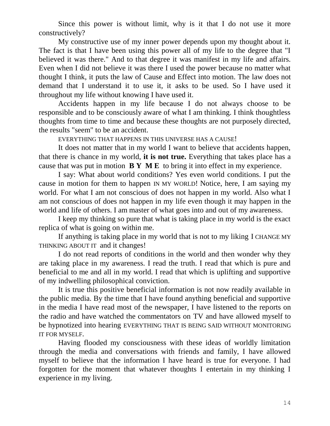Since this power is without limit, why is it that I do not use it more constructively?

My constructive use of my inner power depends upon my thought about it. The fact is that I have been using this power all of my life to the degree that "I believed it was there." And to that degree it was manifest in my life and affairs. Even when I did not believe it was there I used the power because no matter what thought I think, it puts the law of Cause and Effect into motion. The law does not demand that I understand it to use it, it asks to be used. So I have used it throughout my life without knowing I have used it.

Accidents happen in my life because I do not always choose to be responsible and to be consciously aware of what I am thinking. I think thoughtless thoughts from time to time and because these thoughts are not purposely directed, the results "seem" to be an accident.

EVERYTHING THAT HAPPENS IN THIS UNIVERSE HAS A CAUSE!

It does not matter that in my world I want to believe that accidents happen, that there is chance in my world, **it is not true.** Everything that takes place has a cause that was put in motion **B Y M E** to bring it into effect in my experience.

I say: What about world conditions? Yes even world conditions. I put the cause in motion for them to happen IN MY WORLD! Notice, here, I am saying my world. For what I am not conscious of does not happen in my world. Also what I am not conscious of does not happen in my life even though it may happen in the world and life of others. I am master of what goes into and out of my awareness.

I keep my thinking so pure that what is taking place in my world is the exact replica of what is going on within me.

If anything is taking place in my world that is not to my liking I CHANGE MY THINKING ABOUT IT and it changes!

I do not read reports of conditions in the world and then wonder why they are taking place in my awareness. I read the truth. I read that which is pure and beneficial to me and all in my world. I read that which is uplifting and supportive of my indwelling philosophical conviction.

It is true this positive beneficial information is not now readily available in the public media. By the time that I have found anything beneficial and supportive in the media I have read most of the newspaper, I have listened to the reports on the radio and have watched the commentators on TV and have allowed myself to be hypnotized into hearing EVERYTHING THAT IS BEING SAID WITHOUT MONITORING IT FOR MYSELF.

Having flooded my consciousness with these ideas of worldly limitation through the media and conversations with friends and family, I have allowed myself to believe that the information I have heard is true for everyone. I had forgotten for the moment that whatever thoughts I entertain in my thinking I experience in my living.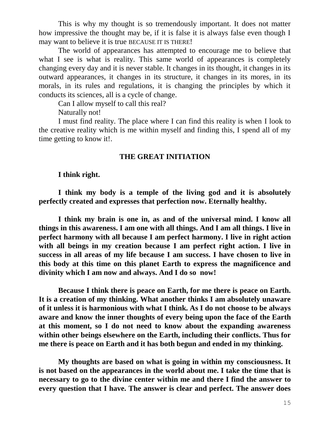This is why my thought is so tremendously important. It does not matter how impressive the thought may be, if it is false it is always false even though I may want to believe it is true BECAUSE IT IS THERE!

The world of appearances has attempted to encourage me to believe that what I see is what is reality. This same world of appearances is completely changing every day and it is never stable. It changes in its thought, it changes in its outward appearances, it changes in its structure, it changes in its mores, in its morals, in its rules and regulations, it is changing the principles by which it conducts its sciences, all is a cycle of change.

Can I allow myself to call this real?

Naturally not!

I must find reality. The place where I can find this reality is when I look to the creative reality which is me within myself and finding this, I spend all of my time getting to know it!.

#### **THE GREAT INITIATION**

#### **I think right.**

**I think my body is a temple of the living god and it is absolutely perfectly created and expresses that perfection now. Eternally healthy.**

**I think my brain is one in, as and of the universal mind. I know all things in this awareness. I am one with all things. And I am all things. I live in perfect harmony with all because I am perfect harmony. I live in right action with all beings in my creation because I am perfect right action. I live in success in all areas of my life because I am success. I have chosen to live in this body at this time on this planet Earth to express the magnificence and divinity which I am now and always. And I do so now!**

**Because I think there is peace on Earth, for me there is peace on Earth. It is a creation of my thinking. What another thinks I am absolutely unaware of it unless it is harmonious with what I think. As I do not choose to be always aware and know the inner thoughts of every being upon the face of the Earth at this moment, so I do not need to know about the expanding awareness within other beings elsewhere on the Earth, including their conflicts. Thus for me there is peace on Earth and it has both begun and ended in my thinking.**

**My thoughts are based on what is going in within my consciousness. It is not based on the appearances in the world about me. I take the time that is necessary to go to the divine center within me and there I find the answer to every question that I have. The answer is clear and perfect. The answer does**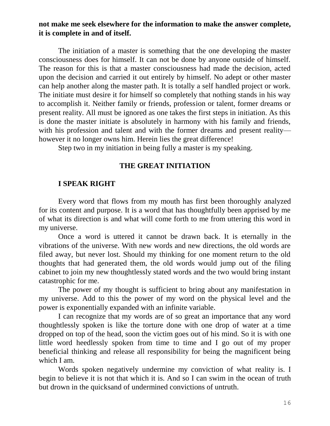## **not make me seek elsewhere for the information to make the answer complete, it is complete in and of itself.**

The initiation of a master is something that the one developing the master consciousness does for himself. It can not be done by anyone outside of himself. The reason for this is that a master consciousness had made the decision, acted upon the decision and carried it out entirely by himself. No adept or other master can help another along the master path. It is totally a self handled project or work. The initiate must desire it for himself so completely that nothing stands in his way to accomplish it. Neither family or friends, profession or talent, former dreams or present reality. All must be ignored as one takes the first steps in initiation. As this is done the master initiate is absolutely in harmony with his family and friends, with his profession and talent and with the former dreams and present reality however it no longer owns him. Herein lies the great difference!

Step two in my initiation in being fully a master is my speaking.

#### **THE GREAT INITIATION**

#### **I SPEAK RIGHT**

Every word that flows from my mouth has first been thoroughly analyzed for its content and purpose. It is a word that has thoughtfully been apprised by me of what its direction is and what will come forth to me from uttering this word in my universe.

Once a word is uttered it cannot be drawn back. It is eternally in the vibrations of the universe. With new words and new directions, the old words are filed away, but never lost. Should my thinking for one moment return to the old thoughts that had generated them, the old words would jump out of the filing cabinet to join my new thoughtlessly stated words and the two would bring instant catastrophic for me.

The power of my thought is sufficient to bring about any manifestation in my universe. Add to this the power of my word on the physical level and the power is exponentially expanded with an infinite variable.

I can recognize that my words are of so great an importance that any word thoughtlessly spoken is like the torture done with one drop of water at a time dropped on top of the head, soon the victim goes out of his mind. So it is with one little word heedlessly spoken from time to time and I go out of my proper beneficial thinking and release all responsibility for being the magnificent being which I am.

Words spoken negatively undermine my conviction of what reality is. I begin to believe it is not that which it is. And so I can swim in the ocean of truth but drown in the quicksand of undermined convictions of untruth.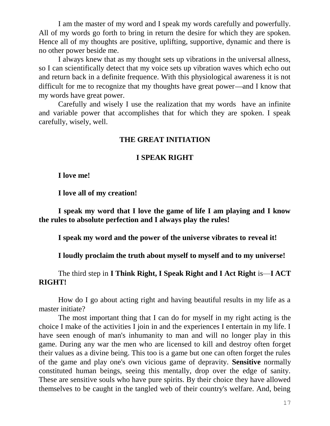I am the master of my word and I speak my words carefully and powerfully. All of my words go forth to bring in return the desire for which they are spoken. Hence all of my thoughts are positive, uplifting, supportive, dynamic and there is no other power beside me.

I always knew that as my thought sets up vibrations in the universal allness, so I can scientifically detect that my voice sets up vibration waves which echo out and return back in a definite frequence. With this physiological awareness it is not difficult for me to recognize that my thoughts have great power—and I know that my words have great power.

Carefully and wisely I use the realization that my words have an infinite and variable power that accomplishes that for which they are spoken. I speak carefully, wisely, well.

### **THE GREAT INITIATION**

#### **I SPEAK RIGHT**

**I love me!**

**I love all of my creation!**

**I speak my word that I love the game of life I am playing and I know the rules to absolute perfection and I always play the rules!**

**I speak my word and the power of the universe vibrates to reveal it!**

**I loudly proclaim the truth about myself to myself and to my universe!**

# The third step in **I Think Right, I Speak Right and I Act Right** is—**I ACT RIGHT!**

How do I go about acting right and having beautiful results in my life as a master initiate?

The most important thing that I can do for myself in my right acting is the choice I make of the activities I join in and the experiences I entertain in my life. I have seen enough of man's inhumanity to man and will no longer play in this game. During any war the men who are licensed to kill and destroy often forget their values as a divine being. This too is a game but one can often forget the rules of the game and play one's own vicious game of depravity. **Sensitive** normally constituted human beings, seeing this mentally, drop over the edge of sanity. These are sensitive souls who have pure spirits. By their choice they have allowed themselves to be caught in the tangled web of their country's welfare. And, being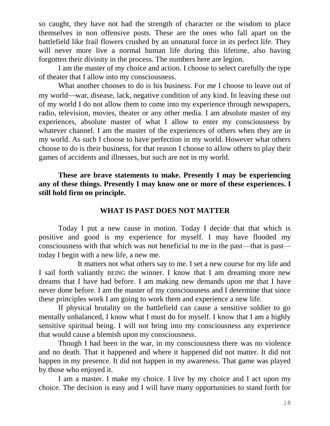so caught, they have not had the strength of character or the wisdom to place themselves in non offensive posts. These are the ones who fall apart on the battlefield like frail flowers crushed by an unnatural force in its perfect life. They will never more live a normal human life during this lifetime, also having forgotten their divinity in the process. The numbers here are legion.

I am the master of my choice and action. I choose to select carefully the type of theater that I allow into my consciousness.

What another chooses to do is his business. For me I choose to leave out of my world—war, disease, lack, negative condition of any kind. In leaving these out of my world I do not allow them to come into my experience through newspapers, radio, television, movies, theater or any other media. I am absolute master of my experiences, absolute master of what I allow to enter my consciousness by whatever channel. I am the master of the experiences of others when they are in my world. As such I choose to have perfection in my world. However what others choose to do is their business, for that reason I choose to allow others to play their games of accidents and illnesses, but such are not in my world.

**These are brave statements to make. Presently I may be experiencing any of these things. Presently I may know one or more of these experiences. I still hold firm on principle.**

#### **WHAT IS PAST DOES NOT MATTER**

Today I put a new cause in motion. Today I decide that that which is positive and good is my experience for myself. I may have flooded my consciousness with that which was not beneficial to me in the past—that is past today I begin with a new life, a new me.

It matters not what others say to me. I set a new course for my life and I sail forth valiantly BEING the winner. I know that I am dreaming more new dreams that I have had before. I am making new demands upon me that I have never done before. I am the master of my consciousness and I determine that since these principles work I am going to work them and experience a new life.

If physical brutality on the battlefield can cause a sensitive soldier to go mentally unbalanced, I know what I must do for myself. I know that I am a highly sensitive spiritual being. I will not bring into my consciousness any experience that would cause a blemish upon my consciousness.

Though I had been in the war, in my consciousness there was no violence and no death. That it happened and where it happened did not matter. It did not happen in my presence. It did not happen in my awareness. That game was played by those who enjoyed it.

I am a master. I make my choice. I live by my choice and I act upon my choice. The decision is easy and I will have many opportunities to stand forth for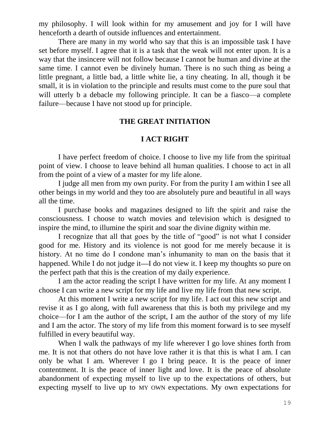my philosophy. I will look within for my amusement and joy for I will have henceforth a dearth of outside influences and entertainment.

There are many in my world who say that this is an impossible task I have set before myself. I agree that it is a task that the weak will not enter upon. It is a way that the insincere will not follow because I cannot be human and divine at the same time. I cannot even be divinely human. There is no such thing as being a little pregnant, a little bad, a little white lie, a tiny cheating. In all, though it be small, it is in violation to the principle and results must come to the pure soul that will utterly b a debacle my following principle. It can be a fiasco—a complete failure—because I have not stood up for principle.

#### **THE GREAT INITIATION**

#### **I ACT RIGHT**

I have perfect freedom of choice. I choose to live my life from the spiritual point of view. I choose to leave behind all human qualities. I choose to act in all from the point of a view of a master for my life alone.

I judge all men from my own purity. For from the purity I am within I see all other beings in my world and they too are absolutely pure and beautiful in all ways all the time.

I purchase books and magazines designed to lift the spirit and raise the consciousness. I choose to watch movies and television which is designed to inspire the mind, to illumine the spirit and soar the divine dignity within me.

I recognize that all that goes by the title of "good" is not what I consider good for me. History and its violence is not good for me merely because it is history. At no time do I condone man's inhumanity to man on the basis that it happened. While I do not judge it  $\overline{I}$  do not view it. I keep my thoughts so pure on the perfect path that this is the creation of my daily experience.

I am the actor reading the script I have written for my life. At any moment I choose I can write a new script for my life and live my life from that new script.

At this moment I write a new script for my life. I act out this new script and revise it as I go along, with full awareness that this is both my privilege and my choice—for I am the author of the script, I am the author of the story of my life and I am the actor. The story of my life from this moment forward is to see myself fulfilled in every beautiful way.

When I walk the pathways of my life wherever I go love shines forth from me. It is not that others do not have love rather it is that this is what I am. I can only be what I am. Wherever I go I bring peace. It is the peace of inner contentment. It is the peace of inner light and love. It is the peace of absolute abandonment of expecting myself to live up to the expectations of others, but expecting myself to live up to MY OWN expectations. My own expectations for